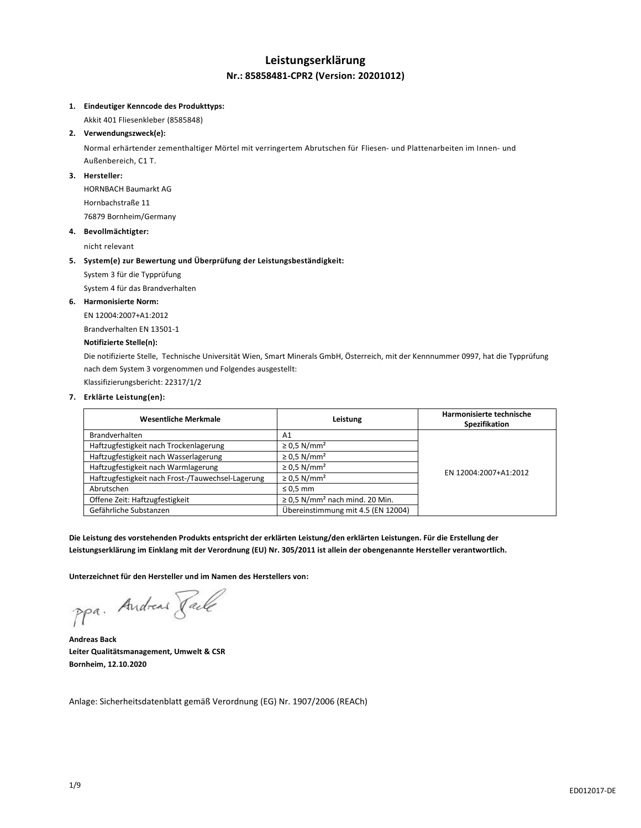## **Leistungserklärung Nr.: 85858481-CPR2 (Version: 20201012)**

### **1. Eindeutiger Kenncode des Produkttyps:**

Akkit 401 Fliesenkleber (8585848)

### **2. Verwendungszweck(e):**

Normal erhärtender zementhaltiger Mörtel mit verringertem Abrutschen für Fliesen- und Plattenarbeiten im Innen- und Außenbereich, C1 T.

### **3. Hersteller:**

HORNBACH Baumarkt AG Hornbachstraße 11 76879 Bornheim/Germany

### **4. Bevollmächtigter:**

nicht relevant

### **5. System(e) zur Bewertung und Überprüfung der Leistungsbeständigkeit:**

System 3 für die Typprüfung

System 4 für das Brandverhalten

### **6. Harmonisierte Norm:**

EN 12004:2007+A1:2012 Brandverhalten EN 13501-1

## **Notifizierte Stelle(n):**

Die notifizierte Stelle, Technische Universität Wien, Smart Minerals GmbH, Österreich, mit der Kennnummer 0997, hat die Typprüfung nach dem System 3 vorgenommen und Folgendes ausgestellt:

Klassifizierungsbericht: 22317/1/2

### **7. Erklärte Leistung(en):**

| <b>Wesentliche Merkmale</b>                       | Leistung                                        | Harmonisierte technische<br>Spezifikation |
|---------------------------------------------------|-------------------------------------------------|-------------------------------------------|
| <b>Brandverhalten</b>                             | A1                                              |                                           |
| Haftzugfestigkeit nach Trockenlagerung            | $\geq$ 0.5 N/mm <sup>2</sup>                    |                                           |
| Haftzugfestigkeit nach Wasserlagerung             | $\geq$ 0.5 N/mm <sup>2</sup>                    | EN 12004:2007+A1:2012                     |
| Haftzugfestigkeit nach Warmlagerung               | $\geq$ 0.5 N/mm <sup>2</sup>                    |                                           |
| Haftzugfestigkeit nach Frost-/Tauwechsel-Lagerung | $\geq$ 0.5 N/mm <sup>2</sup>                    |                                           |
| Abrutschen                                        | $\leq 0.5$ mm                                   |                                           |
| Offene Zeit: Haftzugfestigkeit                    | $\geq$ 0.5 N/mm <sup>2</sup> nach mind. 20 Min. |                                           |
| Gefährliche Substanzen                            | Übereinstimmung mit 4.5 (EN 12004)              |                                           |

**Die Leistung des vorstehenden Produkts entspricht der erklärten Leistung/den erklärten Leistungen. Für die Erstellung der Leistungserklärung im Einklang mit der Verordnung (EU) Nr. 305/2011 ist allein der obengenannte Hersteller verantwortlich.**

**Unterzeichnet für den Hersteller und im Namen des Herstellers von:**

ppa. Andread Fack

**Andreas Back Leiter Qualitätsmanagement, Umwelt & CSR Bornheim, 12.10.2020**

Anlage: Sicherheitsdatenblatt gemäß Verordnung (EG) Nr. 1907/2006 (REACh)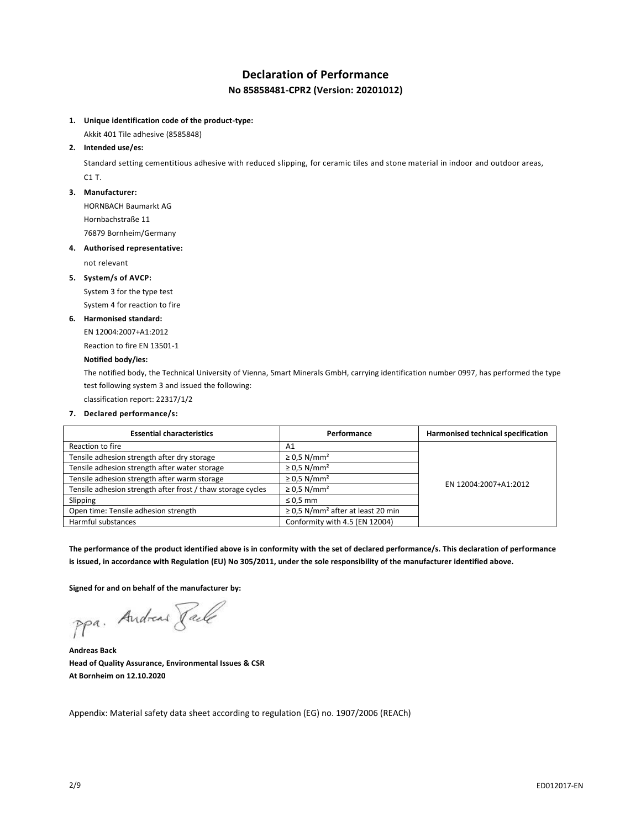# **Declaration of Performance No 85858481-CPR2 (Version: 20201012)**

**1. Unique identification code of the product-type:**

Akkit 401 Tile adhesive (8585848)

## **2. Intended use/es:**

Standard setting cementitious adhesive with reduced slipping, for ceramic tiles and stone material in indoor and outdoor areas, C1 T.

### **3. Manufacturer:**

HORNBACH Baumarkt AG Hornbachstraße 11

76879 Bornheim/Germany

### **4. Authorised representative:**

not relevant

### **5. System/s of AVCP:**

System 3 for the type test System 4 for reaction to fire

### **6. Harmonised standard:**

EN 12004:2007+A1:2012

Reaction to fire EN 13501-1

### **Notified body/ies:**

The notified body, the Technical University of Vienna, Smart Minerals GmbH, carrying identification number 0997, has performed the type test following system 3 and issued the following:

classification report: 22317/1/2

## **7. Declared performance/s:**

| <b>Essential characteristics</b>                            | Performance                                        | Harmonised technical specification |
|-------------------------------------------------------------|----------------------------------------------------|------------------------------------|
| Reaction to fire                                            | A <sub>1</sub>                                     |                                    |
| Tensile adhesion strength after dry storage                 | $\geq$ 0.5 N/mm <sup>2</sup>                       | EN 12004:2007+A1:2012              |
| Tensile adhesion strength after water storage               | $\geq$ 0.5 N/mm <sup>2</sup>                       |                                    |
| Tensile adhesion strength after warm storage                | $\geq$ 0.5 N/mm <sup>2</sup>                       |                                    |
| Tensile adhesion strength after frost / thaw storage cycles | $\geq$ 0.5 N/mm <sup>2</sup>                       |                                    |
| Slipping                                                    | $\leq 0.5$ mm                                      |                                    |
| Open time: Tensile adhesion strength                        | $\geq$ 0.5 N/mm <sup>2</sup> after at least 20 min |                                    |
| Harmful substances                                          | Conformity with 4.5 (EN 12004)                     |                                    |

**The performance of the product identified above is in conformity with the set of declared performance/s. This declaration of performance is issued, in accordance with Regulation (EU) No 305/2011, under the sole responsibility of the manufacturer identified above.**

**Signed for and on behalf of the manufacturer by:**

ppa. Andreas Pale

**Andreas Back Head of Quality Assurance, Environmental Issues & CSR At Bornheim on 12.10.2020**

Appendix: Material safety data sheet according to regulation (EG) no. 1907/2006 (REACh)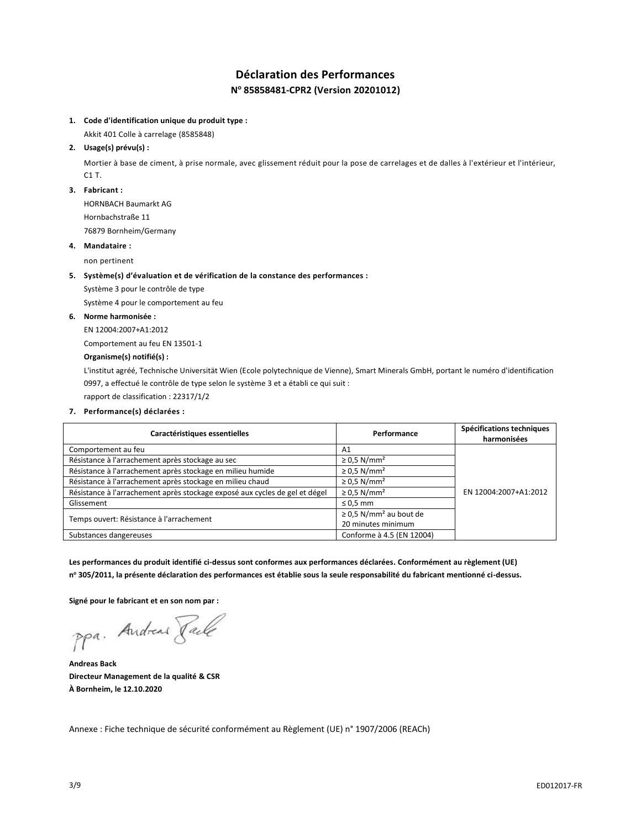# **Déclaration des Performances N <sup>o</sup> 85858481-CPR2 (Version 20201012)**

## **1. Code d'identification unique du produit type :**

Akkit 401 Colle à carrelage (8585848)

## **2. Usage(s) prévu(s) :**

Mortier à base de ciment, à prise normale, avec glissement réduit pour la pose de carrelages et de dalles à l'extérieur et l'intérieur, C1 T.

#### **3. Fabricant :**

HORNBACH Baumarkt AG Hornbachstraße 11

76879 Bornheim/Germany

### **4. Mandataire :**

non pertinent

### **5. Système(s) d'évaluation et de vérification de la constance des performances :**

Système 3 pour le contrôle de type

Système 4 pour le comportement au feu

### **6. Norme harmonisée :**

EN 12004:2007+A1:2012

Comportement au feu EN 13501-1

## **Organisme(s) notifié(s) :**

L'institut agréé, Technische Universität Wien (Ecole polytechnique de Vienne), Smart Minerals GmbH, portant le numéro d'identification 0997, a effectué le contrôle de type selon le système 3 et a établi ce qui suit :

rapport de classification : 22317/1/2

#### **7. Performance(s) déclarées :**

| Caractéristiques essentielles                                               | Performance                             | Spécifications techniques<br>harmonisées |
|-----------------------------------------------------------------------------|-----------------------------------------|------------------------------------------|
| Comportement au feu                                                         | A1                                      |                                          |
| Résistance à l'arrachement après stockage au sec                            | $\geq$ 0.5 N/mm <sup>2</sup>            |                                          |
| Résistance à l'arrachement après stockage en milieu humide                  | $\geq$ 0.5 N/mm <sup>2</sup>            |                                          |
| Résistance à l'arrachement après stockage en milieu chaud                   | $\geq$ 0.5 N/mm <sup>2</sup>            |                                          |
| Résistance à l'arrachement après stockage exposé aux cycles de gel et dégel | $\geq$ 0.5 N/mm <sup>2</sup>            | EN 12004:2007+A1:2012                    |
| Glissement                                                                  | $\leq 0.5$ mm                           |                                          |
| Temps ouvert: Résistance à l'arrachement                                    | $\geq$ 0.5 N/mm <sup>2</sup> au bout de |                                          |
|                                                                             | 20 minutes minimum                      |                                          |
| Substances dangereuses                                                      | Conforme à 4.5 (EN 12004)               |                                          |

**Les performances du produit identifié ci-dessus sont conformes aux performances déclarées. Conformément au règlement (UE) n <sup>o</sup> 305/2011, la présente déclaration des performances est établie sous la seule responsabilité du fabricant mentionné ci-dessus.**

**Signé pour le fabricant et en son nom par :**

ppa. Andreas Pale

**Andreas Back Directeur Management de la qualité & CSR À Bornheim, le 12.10.2020**

Annexe : Fiche technique de sécurité conformément au Règlement (UE) n° 1907/2006 (REACh)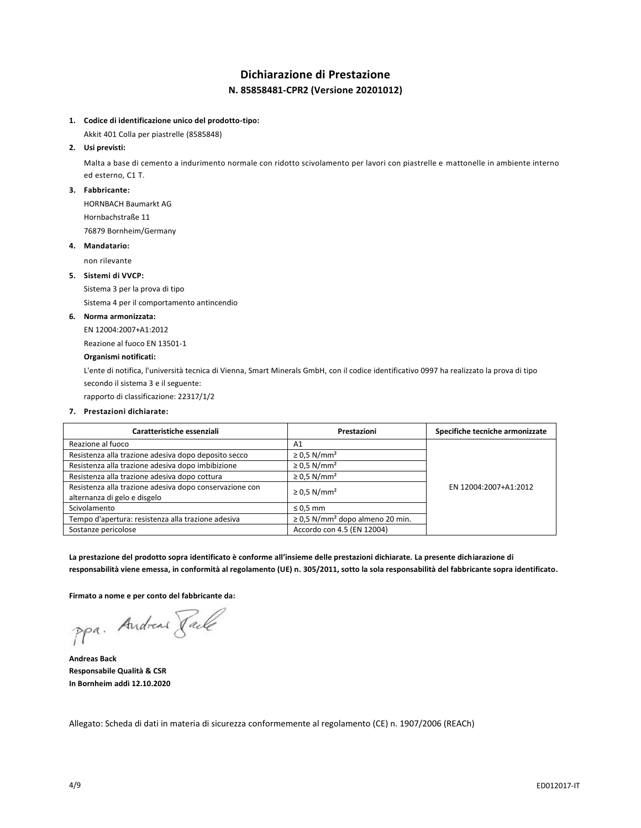# **Dichiarazione di Prestazione N. 85858481-CPR2 (Versione 20201012)**

## **1. Codice di identificazione unico del prodotto-tipo:**

Akkit 401 Colla per piastrelle (8585848)

### **2. Usi previsti:**

Malta a base di cemento a indurimento normale con ridotto scivolamento per lavori con piastrelle e mattonelle in ambiente interno ed esterno, C1 T.

### **3. Fabbricante:**

HORNBACH Baumarkt AG

Hornbachstraße 11 76879 Bornheim/Germany

### **4. Mandatario:**

non rilevante

## **5. Sistemi di VVCP:**

Sistema 3 per la prova di tipo

Sistema 4 per il comportamento antincendio

### **6. Norma armonizzata:**

EN 12004:2007+A1:2012

Reazione al fuoco EN 13501-1

## **Organismi notificati:**

L'ente di notifica, l'università tecnica di Vienna, Smart Minerals GmbH, con il codice identificativo 0997 ha realizzato la prova di tipo secondo il sistema 3 e il seguente:

rapporto di classificazione: 22317/1/2

### **7. Prestazioni dichiarate:**

| Caratteristiche essenziali                                                              | Prestazioni                                      | Specifiche tecniche armonizzate |
|-----------------------------------------------------------------------------------------|--------------------------------------------------|---------------------------------|
| Reazione al fuoco                                                                       | A <sub>1</sub>                                   |                                 |
| Resistenza alla trazione adesiva dopo deposito secco                                    | $\geq$ 0.5 N/mm <sup>2</sup>                     |                                 |
| Resistenza alla trazione adesiva dopo imbibizione                                       | $\geq$ 0.5 N/mm <sup>2</sup>                     |                                 |
| Resistenza alla trazione adesiva dopo cottura                                           | $\geq$ 0.5 N/mm <sup>2</sup>                     |                                 |
| Resistenza alla trazione adesiva dopo conservazione con<br>alternanza di gelo e disgelo | $\geq$ 0.5 N/mm <sup>2</sup>                     | EN 12004:2007+A1:2012           |
| Scivolamento                                                                            | $\leq 0.5$ mm                                    |                                 |
| Tempo d'apertura: resistenza alla trazione adesiva                                      | $\geq$ 0.5 N/mm <sup>2</sup> dopo almeno 20 min. |                                 |
| Sostanze pericolose                                                                     | Accordo con 4.5 (EN 12004)                       |                                 |

**La prestazione del prodotto sopra identificato è conforme all'insieme delle prestazioni dichiarate. La presente dichiarazione di responsabilità viene emessa, in conformità al regolamento (UE) n. 305/2011, sotto la sola responsabilità del fabbricante sopra identificato.**

**Firmato a nome e per conto del fabbricante da:**

ppa. Andreas Pack

**Andreas Back Responsabile Qualità & CSR In Bornheim addì 12.10.2020**

Allegato: Scheda di dati in materia di sicurezza conformemente al regolamento (CE) n. 1907/2006 (REACh)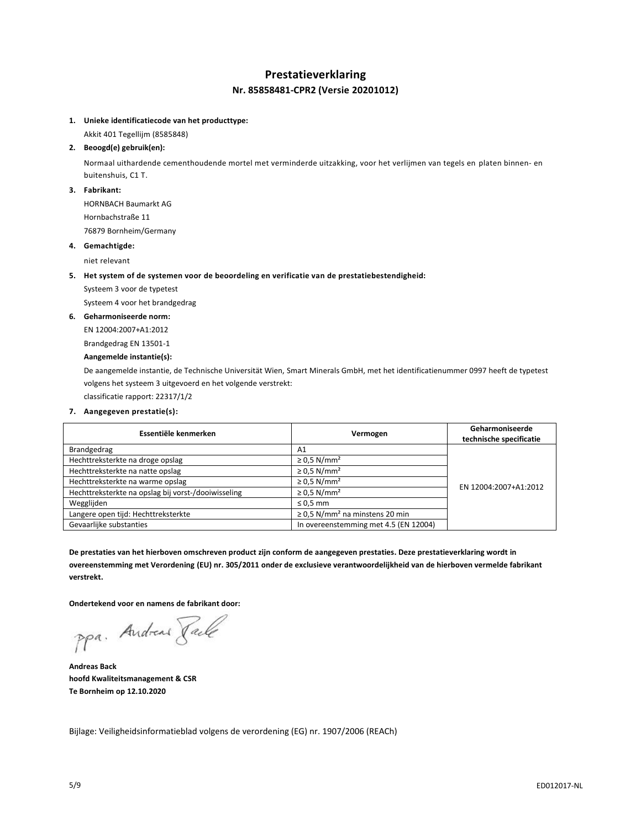## **Prestatieverklaring Nr. 85858481-CPR2 (Versie 20201012)**

### **1. Unieke identificatiecode van het producttype:**

Akkit 401 Tegellijm (8585848)

### **2. Beoogd(e) gebruik(en):**

Normaal uithardende cementhoudende mortel met verminderde uitzakking, voor het verlijmen van tegels en platen binnen- en buitenshuis, C1 T.

### **3. Fabrikant:**

HORNBACH Baumarkt AG Hornbachstraße 11 76879 Bornheim/Germany

### **4. Gemachtigde:**

niet relevant

- **5. Het system of de systemen voor de beoordeling en verificatie van de prestatiebestendigheid:**
	- Systeem 3 voor de typetest

Systeem 4 voor het brandgedrag

### **6. Geharmoniseerde norm:**

EN 12004:2007+A1:2012

## Brandgedrag EN 13501-1

## **Aangemelde instantie(s):**

De aangemelde instantie, de Technische Universität Wien, Smart Minerals GmbH, met het identificatienummer 0997 heeft de typetest volgens het systeem 3 uitgevoerd en het volgende verstrekt:

classificatie rapport: 22317/1/2

### **7. Aangegeven prestatie(s):**

| Essentiële kenmerken                                | Vermogen                                        | Geharmoniseerde<br>technische specificatie |
|-----------------------------------------------------|-------------------------------------------------|--------------------------------------------|
| Brandgedrag                                         | A1                                              |                                            |
| Hechttreksterkte na droge opslag                    | $\geq$ 0.5 N/mm <sup>2</sup>                    |                                            |
| Hechttreksterkte na natte opslag                    | $\geq$ 0.5 N/mm <sup>2</sup>                    |                                            |
| Hechttreksterkte na warme opslag                    | $\geq$ 0.5 N/mm <sup>2</sup>                    | EN 12004:2007+A1:2012                      |
| Hechttreksterkte na opslag bij vorst-/dooiwisseling | $\geq$ 0.5 N/mm <sup>2</sup>                    |                                            |
| Wegglijden                                          | $\leq 0.5$ mm                                   |                                            |
| Langere open tijd: Hechttreksterkte                 | $\geq$ 0,5 N/mm <sup>2</sup> na minstens 20 min |                                            |
| Gevaarlijke substanties                             | In overeenstemming met 4.5 (EN 12004)           |                                            |

**De prestaties van het hierboven omschreven product zijn conform de aangegeven prestaties. Deze prestatieverklaring wordt in overeenstemming met Verordening (EU) nr. 305/2011 onder de exclusieve verantwoordelijkheid van de hierboven vermelde fabrikant verstrekt.**

**Ondertekend voor en namens de fabrikant door:**

ppa. Andreas Pale

**Andreas Back hoofd Kwaliteitsmanagement & CSR Te Bornheim op 12.10.2020**

Bijlage: Veiligheidsinformatieblad volgens de verordening (EG) nr. 1907/2006 (REACh)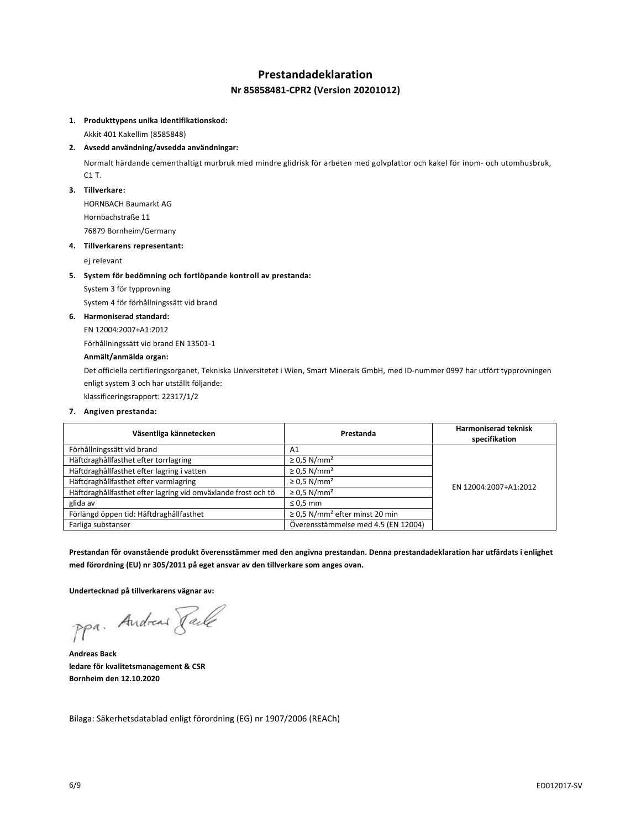## **Prestandadeklaration**

## **Nr 85858481-CPR2 (Version 20201012)**

#### **1. Produkttypens unika identifikationskod:**

Akkit 401 Kakellim (8585848)

### **2. Avsedd användning/avsedda användningar:**

Normalt härdande cementhaltigt murbruk med mindre glidrisk för arbeten med golvplattor och kakel för inom- och utomhusbruk, C1 T.

### **3. Tillverkare:**

HORNBACH Baumarkt AG Hornbachstraße 11

76879 Bornheim/Germany

### **4. Tillverkarens representant:**

ej relevant

### **5. System för bedömning och fortlöpande kontroll av prestanda:**

System 3 för typprovning

System 4 för förhållningssätt vid brand

### **6. Harmoniserad standard:**

EN 12004:2007+A1:2012

Förhållningssätt vid brand EN 13501-1

## **Anmält/anmälda organ:**

Det officiella certifieringsorganet, Tekniska Universitetet i Wien, Smart Minerals GmbH, med ID-nummer 0997 har utfört typprovningen enligt system 3 och har utställt följande:

klassificeringsrapport: 22317/1/2

### **7. Angiven prestanda:**

| Väsentliga kännetecken                                        | Prestanda                                       | <b>Harmoniserad teknisk</b><br>specifikation |
|---------------------------------------------------------------|-------------------------------------------------|----------------------------------------------|
| Förhållningssätt vid brand                                    | A1                                              |                                              |
| Häftdraghållfasthet efter torrlagring                         | $\geq$ 0.5 N/mm <sup>2</sup>                    | EN 12004:2007+A1:2012                        |
| Häftdraghållfasthet efter lagring i vatten                    | $\geq$ 0.5 N/mm <sup>2</sup>                    |                                              |
| Häftdraghållfasthet efter varmlagring                         | $\geq$ 0.5 N/mm <sup>2</sup>                    |                                              |
| Häftdraghållfasthet efter lagring vid omväxlande frost och tö | $\geq$ 0.5 N/mm <sup>2</sup>                    |                                              |
| glida av                                                      | $\leq 0.5$ mm                                   |                                              |
| Förlängd öppen tid: Häftdraghållfasthet                       | $\geq$ 0,5 N/mm <sup>2</sup> efter minst 20 min |                                              |
| Farliga substanser                                            | Överensstämmelse med 4.5 (EN 12004)             |                                              |

**Prestandan för ovanstående produkt överensstämmer med den angivna prestandan. Denna prestandadeklaration har utfärdats i enlighet med förordning (EU) nr 305/2011 på eget ansvar av den tillverkare som anges ovan.**

**Undertecknad på tillverkarens vägnar av:**

ppa. Andreas Paule

**Andreas Back ledare för kvalitetsmanagement & CSR Bornheim den 12.10.2020**

Bilaga: Säkerhetsdatablad enligt förordning (EG) nr 1907/2006 (REACh)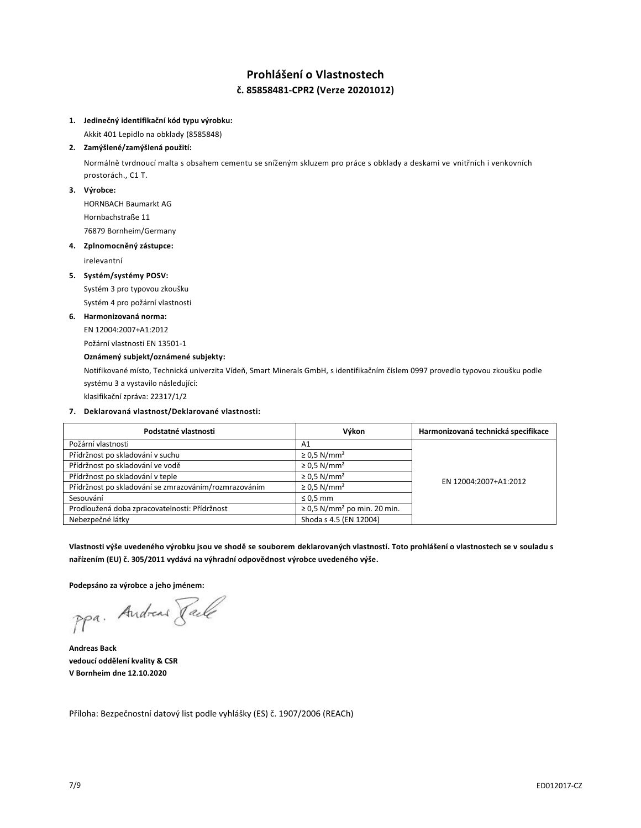# **Prohlášení o Vlastnostech č. 85858481-CPR2 (Verze 20201012)**

## **1. Jedinečný identifikační kód typu výrobku:**

Akkit 401 Lepidlo na obklady (8585848)

## **2. Zamýšlené/zamýšlená použití:**

Normálně tvrdnoucí malta s obsahem cementu se sníženým skluzem pro práce s obklady a deskami ve vnitřních i venkovních prostorách., C1 T.

### **3. Výrobce:**

HORNBACH Baumarkt AG Hornbachstraße 11 76879 Bornheim/Germany

### **4. Zplnomocněný zástupce:**

irelevantní

## **5. Systém/systémy POSV:**

Systém 3 pro typovou zkoušku Systém 4 pro požární vlastnosti

### **6. Harmonizovaná norma:**

EN 12004:2007+A1:2012

Požární vlastnosti EN 13501-1

## **Oznámený subjekt/oznámené subjekty:**

Notifikované místo, Technická univerzita Vídeň, Smart Minerals GmbH, s identifikačním číslem 0997 provedlo typovou zkoušku podle systému 3 a vystavilo následující:

klasifikační zpráva: 22317/1/2

### **7. Deklarovaná vlastnost/Deklarované vlastnosti:**

| Podstatné vlastnosti                                  | Výkon                                        | Harmonizovaná technická specifikace |
|-------------------------------------------------------|----------------------------------------------|-------------------------------------|
| Požární vlastnosti                                    | A1                                           |                                     |
| Přídržnost po skladování v suchu                      | $\geq$ 0.5 N/mm <sup>2</sup>                 |                                     |
| Přídržnost po skladování ve vodě                      | $\geq$ 0.5 N/mm <sup>2</sup>                 | EN 12004:2007+A1:2012               |
| Přídržnost po skladování v teple                      | $\geq$ 0.5 N/mm <sup>2</sup>                 |                                     |
| Přídržnost po skladování se zmrazováním/rozmrazováním | $\geq$ 0.5 N/mm <sup>2</sup>                 |                                     |
| Sesouvání                                             | $\leq$ 0.5 mm                                |                                     |
| Prodloužená doba zpracovatelnosti: Přídržnost         | $\geq$ 0,5 N/mm <sup>2</sup> po min. 20 min. |                                     |
| Nebezpečné látky                                      | Shoda s 4.5 (EN 12004)                       |                                     |

**Vlastnosti výše uvedeného výrobku jsou ve shodě se souborem deklarovaných vlastností. Toto prohlášení o vlastnostech se v souladu s nařízením (EU) č. 305/2011 vydává na výhradní odpovědnost výrobce uvedeného výše.**

**Podepsáno za výrobce a jeho jménem:**

**Andreas Back vedoucí oddělení kvality & CSR V Bornheim dne 12.10.2020**

Příloha: Bezpečnostní datový list podle vyhlášky (ES) č. 1907/2006 (REACh)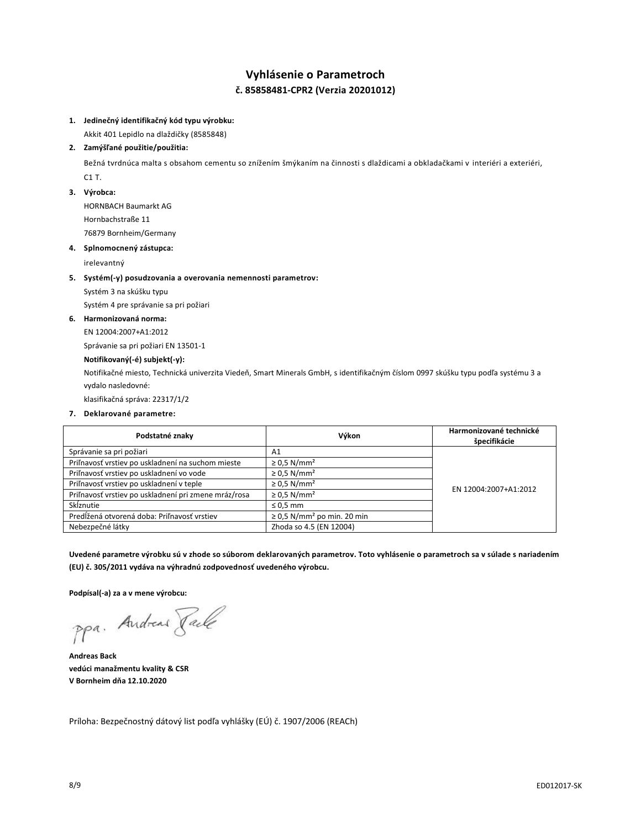# **Vyhlásenie o Parametroch č. 85858481-CPR2 (Verzia 20201012)**

## **1. Jedinečný identifikačný kód typu výrobku:**

Akkit 401 Lepidlo na dlaždičky (8585848)

### **2. Zamýšľané použitie/použitia:**

Bežná tvrdnúca malta s obsahom cementu so znížením šmýkaním na činnosti s dlaždicami a obkladačkami v interiéri a exteriéri, C1 T.

### **3. Výrobca:**

HORNBACH Baumarkt AG Hornbachstraße 11 76879 Bornheim/Germany

### **4. Splnomocnený zástupca:**

irelevantný

### **5. Systém(-y) posudzovania a overovania nemennosti parametrov:**

Systém 3 na skúšku typu

Systém 4 pre správanie sa pri požiari

### **6. Harmonizovaná norma:**

EN 12004:2007+A1:2012

Správanie sa pri požiari EN 13501-1

## **Notifikovaný(-é) subjekt(-y):**

Notifikačné miesto, Technická univerzita Viedeň, Smart Minerals GmbH, s identifikačným číslom 0997 skúšku typu podľa systému 3 a vydalo nasledovné:

klasifikačná správa: 22317/1/2

### **7. Deklarované parametre:**

| Podstatné znaky                                      | Výkon                                       | Harmonizované technické<br>špecifikácie |
|------------------------------------------------------|---------------------------------------------|-----------------------------------------|
| Správanie sa pri požiari                             | A1                                          |                                         |
| Priľnavosť vrstiev po uskladnení na suchom mieste    | $\geq$ 0.5 N/mm <sup>2</sup>                | EN 12004:2007+A1:2012                   |
| Priľnavosť vrstiev po uskladnení vo vode             | $\geq$ 0.5 N/mm <sup>2</sup>                |                                         |
| Priľnavosť vrstiev po uskladnení v teple             | $\geq$ 0.5 N/mm <sup>2</sup>                |                                         |
| Priľnavosť vrstiev po uskladnení pri zmene mráz/rosa | $\geq$ 0.5 N/mm <sup>2</sup>                |                                         |
| Sklznutie                                            | $\leq 0.5$ mm                               |                                         |
| Predĺžená otvorená doba: Priľnavosť vrstiev          | $\geq$ 0,5 N/mm <sup>2</sup> po min. 20 min |                                         |
| Nebezpečné látky                                     | Zhoda so 4.5 (EN 12004)                     |                                         |

**Uvedené parametre výrobku sú v zhode so súborom deklarovaných parametrov. Toto vyhlásenie o parametroch sa v súlade s nariadením (EU) č. 305/2011 vydáva na výhradnú zodpovednosť uvedeného výrobcu.**

**Podpísal(-a) za a v mene výrobcu:**

ppa. Andreas Face

**Andreas Back vedúci manažmentu kvality & CSR V Bornheim dňa 12.10.2020**

Príloha: Bezpečnostný dátový list podľa vyhlášky (EÚ) č. 1907/2006 (REACh)